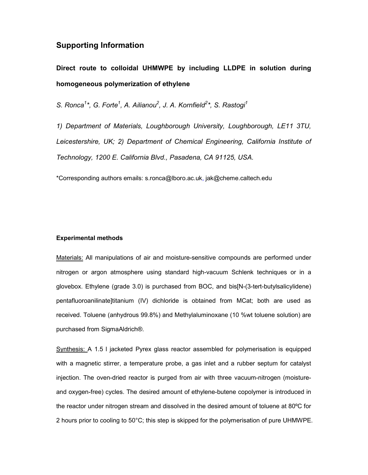## **Supporting Information**

**Direct route to colloidal UHMWPE by including LLDPE in solution during homogeneous polymerization of ethylene**

S. Ronca<sup>1</sup>\*, G. Forte<sup>1</sup>, A. Ailianou<sup>2</sup>, J. A. Kornfield<sup>2</sup>\*, S. Rastogi<sup>1</sup>

*1) Department of Materials, Loughborough University, Loughborough, LE11 3TU, Leicestershire, UK; 2) Department of Chemical Engineering, California Institute of Technology, 1200 E. California Blvd., Pasadena, CA 91125, USA.* 

\*Corresponding authors emails: s.ronca@lboro.ac.uk, jak@cheme.caltech.edu

## **Experimental methods**

Materials: All manipulations of air and moisture-sensitive compounds are performed under nitrogen or argon atmosphere using standard high-vacuum Schlenk techniques or in a glovebox. Ethylene (grade 3.0) is purchased from BOC, and bis[N-(3-tert-butylsalicylidene) pentafluoroanilinate]titanium (IV) dichloride is obtained from MCat; both are used as received. Toluene (anhydrous 99.8%) and Methylaluminoxane (10 %wt toluene solution) are purchased from SigmaAldrich®.

Synthesis: A 1.5 I jacketed Pyrex glass reactor assembled for polymerisation is equipped with a magnetic stirrer, a temperature probe, a gas inlet and a rubber septum for catalyst injection. The oven-dried reactor is purged from air with three vacuum-nitrogen (moistureand oxygen-free) cycles. The desired amount of ethylene-butene copolymer is introduced in the reactor under nitrogen stream and dissolved in the desired amount of toluene at 80ºC for 2 hours prior to cooling to 50°C; this step is skipped for the polymerisation of pure UHMWPE.